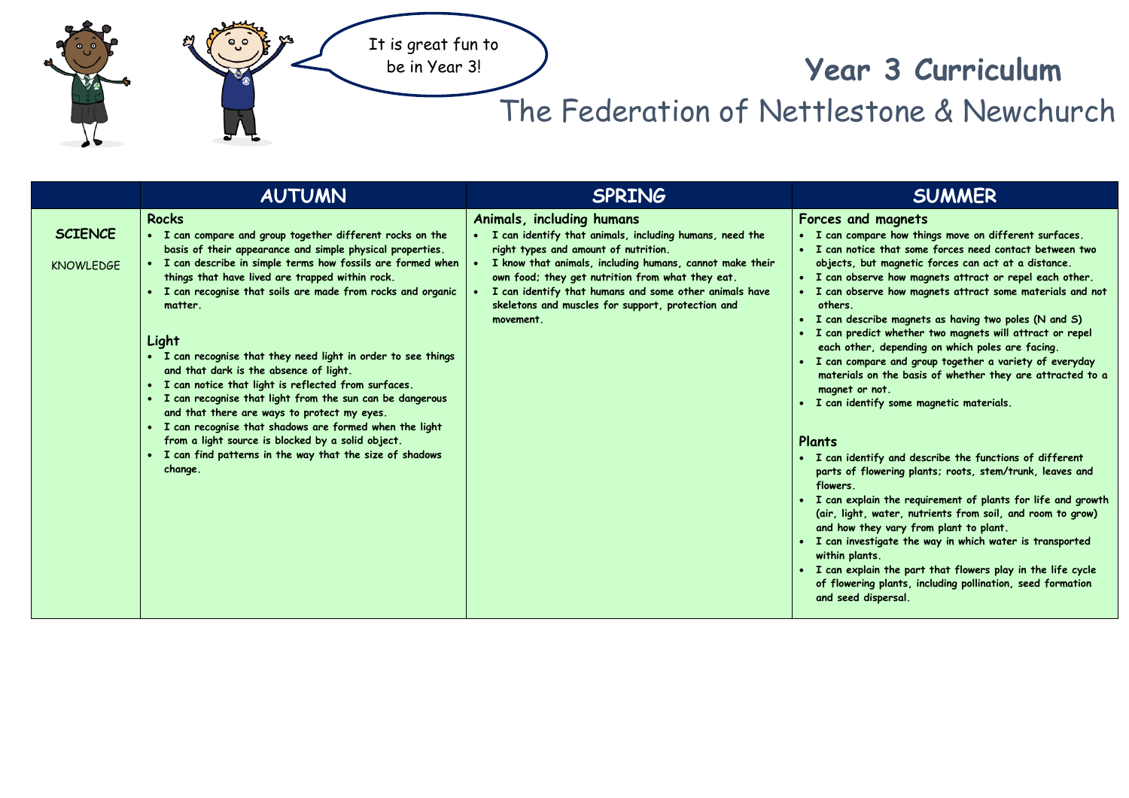

## **Year 3 Curriculum**

## The Federation of Nettlestone & Newchurch

|                                    | <b>AUTUMN</b>                                                                                                                                                                                                                                                                                                                                                                                                                                                                                                                                                                                                                                                                                                                                                                                                     | <b>SPRING</b>                                                                                                                                                                                                                                                                                                                                                            | <b>SUMMER</b>                                                                                                                                                                                                                                                                                                                                                                                                                                                                                                                                                                                                                                                                                                                                                                                                                                                                                                                                                                                                                                                                                                                                                                                                                                              |
|------------------------------------|-------------------------------------------------------------------------------------------------------------------------------------------------------------------------------------------------------------------------------------------------------------------------------------------------------------------------------------------------------------------------------------------------------------------------------------------------------------------------------------------------------------------------------------------------------------------------------------------------------------------------------------------------------------------------------------------------------------------------------------------------------------------------------------------------------------------|--------------------------------------------------------------------------------------------------------------------------------------------------------------------------------------------------------------------------------------------------------------------------------------------------------------------------------------------------------------------------|------------------------------------------------------------------------------------------------------------------------------------------------------------------------------------------------------------------------------------------------------------------------------------------------------------------------------------------------------------------------------------------------------------------------------------------------------------------------------------------------------------------------------------------------------------------------------------------------------------------------------------------------------------------------------------------------------------------------------------------------------------------------------------------------------------------------------------------------------------------------------------------------------------------------------------------------------------------------------------------------------------------------------------------------------------------------------------------------------------------------------------------------------------------------------------------------------------------------------------------------------------|
| <b>SCIENCE</b><br><b>KNOWLEDGE</b> | <b>Rocks</b><br>• I can compare and group together different rocks on the<br>basis of their appearance and simple physical properties.<br>I can describe in simple terms how fossils are formed when<br>things that have lived are trapped within rock.<br>I can recognise that soils are made from rocks and organic<br>matter.<br>Light<br>• I can recognise that they need light in order to see things<br>and that dark is the absence of light.<br>• I can notice that light is reflected from surfaces.<br>• I can recognise that light from the sun can be dangerous<br>and that there are ways to protect my eyes.<br>• I can recognise that shadows are formed when the light<br>from a light source is blocked by a solid object.<br>I can find patterns in the way that the size of shadows<br>change. | Animals, including humans<br>I can identify that animals, including humans, need the<br>right types and amount of nutrition.<br>I know that animals, including humans, cannot make their<br>own food; they get nutrition from what they eat.<br>I can identify that humans and some other animals have<br>skeletons and muscles for support, protection and<br>movement. | Forces and magnets<br>• I can compare how things move on different surfaces.<br>• I can notice that some forces need contact between two<br>objects, but magnetic forces can act at a distance.<br>• I can observe how magnets attract or repel each other.<br>I can observe how magnets attract some materials and not<br>others.<br>• I can describe magnets as having two poles (N and S)<br>I can predict whether two magnets will attract or repel<br>each other, depending on which poles are facing.<br>• I can compare and group together a variety of everyday<br>materials on the basis of whether they are attracted to a<br>magnet or not.<br>I can identify some magnetic materials.<br>Plants<br>• I can identify and describe the functions of different<br>parts of flowering plants; roots, stem/trunk, leaves and<br>flowers.<br>I can explain the requirement of plants for life and growth<br>(air, light, water, nutrients from soil, and room to grow)<br>and how they vary from plant to plant.<br>• I can investigate the way in which water is transported<br>within plants.<br>• I can explain the part that flowers play in the life cycle<br>of flowering plants, including pollination, seed formation<br>and seed dispersal. |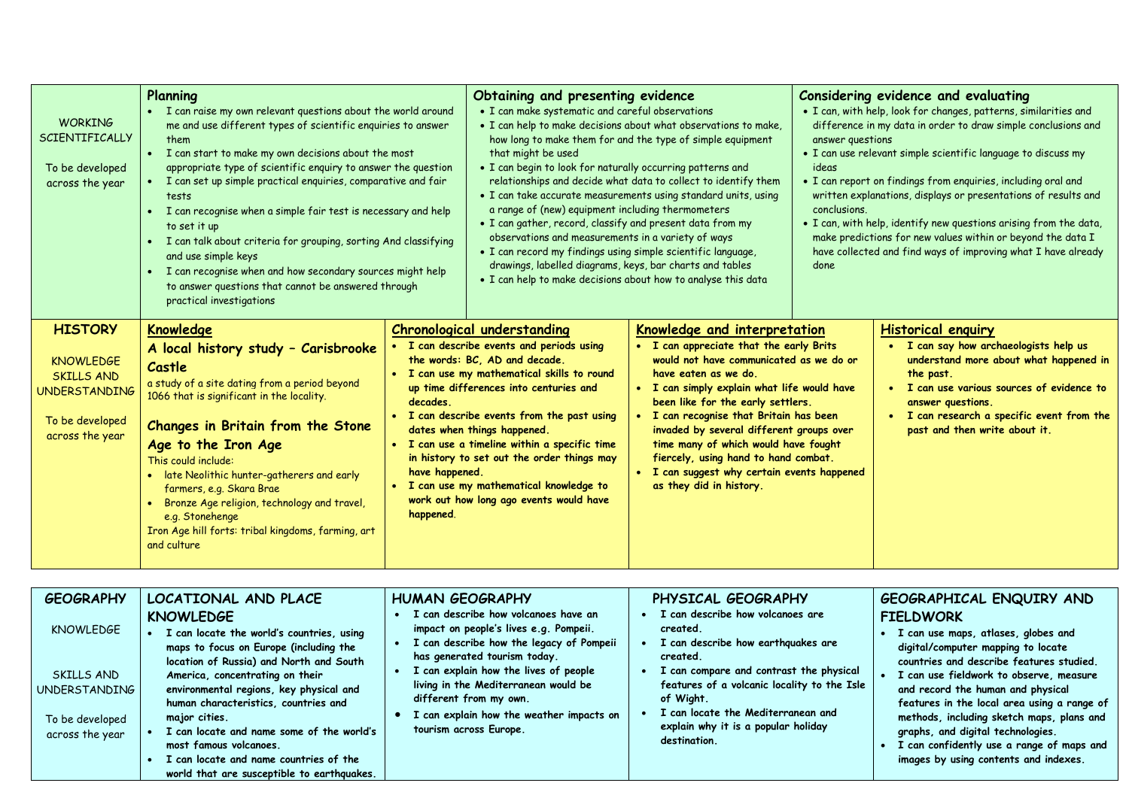| <b>WORKING</b><br><b>SCIENTIFICALLY</b><br>To be developed<br>across the year                                         | Planning<br>• I can raise my own relevant questions about the world around<br>me and use different types of scientific enquiries to answer<br>them<br>• I can start to make my own decisions about the most<br>appropriate type of scientific enquiry to answer the question<br>• I can set up simple practical enquiries, comparative and fair<br>tests<br>• I can recognise when a simple fair test is necessary and help<br>to set it up<br>• I can talk about criteria for grouping, sorting And classifying<br>and use simple keys<br>• I can recognise when and how secondary sources might help<br>to answer questions that cannot be answered through<br>practical investigations |                                         | Obtaining and presenting evidence<br>• I can make systematic and careful observations<br>. I can help to make decisions about what observations to make,<br>how long to make them for and the type of simple equipment<br>that might be used<br>. I can begin to look for naturally occurring patterns and<br>relationships and decide what data to collect to identify them<br>• I can take accurate measurements using standard units, using<br>a range of (new) equipment including thermometers<br>• I can gather, record, classify and present data from my<br>observations and measurements in a variety of ways<br>. I can record my findings using simple scientific language,<br>drawings, labelled diagrams, keys, bar charts and tables<br>. I can help to make decisions about how to analyse this data |                                                                                                                                                                                                                                                                                                                                                                                                                                                                                 | Considering evidence and evaluating<br>. I can, with help, look for changes, patterns, similarities and<br>difference in my data in order to draw simple conclusions and<br>answer questions<br>• I can use relevant simple scientific language to discuss my<br>ideas<br>• I can report on findings from enguiries, including oral and<br>written explanations, displays or presentations of results and<br>conclusions.<br>. I can, with help, identify new questions arising from the data,<br>make predictions for new values within or beyond the data I<br>have collected and find ways of improving what I have already<br>done |                                                                                                                                                                                                                                                                                         |
|-----------------------------------------------------------------------------------------------------------------------|-------------------------------------------------------------------------------------------------------------------------------------------------------------------------------------------------------------------------------------------------------------------------------------------------------------------------------------------------------------------------------------------------------------------------------------------------------------------------------------------------------------------------------------------------------------------------------------------------------------------------------------------------------------------------------------------|-----------------------------------------|---------------------------------------------------------------------------------------------------------------------------------------------------------------------------------------------------------------------------------------------------------------------------------------------------------------------------------------------------------------------------------------------------------------------------------------------------------------------------------------------------------------------------------------------------------------------------------------------------------------------------------------------------------------------------------------------------------------------------------------------------------------------------------------------------------------------|---------------------------------------------------------------------------------------------------------------------------------------------------------------------------------------------------------------------------------------------------------------------------------------------------------------------------------------------------------------------------------------------------------------------------------------------------------------------------------|----------------------------------------------------------------------------------------------------------------------------------------------------------------------------------------------------------------------------------------------------------------------------------------------------------------------------------------------------------------------------------------------------------------------------------------------------------------------------------------------------------------------------------------------------------------------------------------------------------------------------------------|-----------------------------------------------------------------------------------------------------------------------------------------------------------------------------------------------------------------------------------------------------------------------------------------|
| <b>HISTORY</b><br><b>KNOWLEDGE</b><br><b>SKILLS AND</b><br><b>UNDERSTANDING</b><br>To be developed<br>across the year | <b>Knowledge</b><br>A local history study - Carisbrooke<br>Castle<br>a study of a site dating from a period beyond<br>1066 that is significant in the locality.<br>Changes in Britain from the Stone<br>Age to the Iron Age<br>This could include:<br>• late Neolithic hunter-gatherers and early<br>farmers, e.g. Skara Brae<br>• Bronze Age religion, technology and travel,<br>e.g. Stonehenge<br>Iron Age hill forts: tribal kingdoms, farming, art<br>and culture                                                                                                                                                                                                                    | decades.<br>have happened.<br>happened. | <b>Chronological understanding</b><br>· I can describe events and periods using<br>the words: BC, AD and decade.<br>• I can use my mathematical skills to round<br>up time differences into centuries and<br>• I can describe events from the past using<br>dates when things happened.<br>• I can use a timeline within a specific time<br>in history to set out the order things may<br>. I can use my mathematical knowledge to<br>work out how long ago events would have                                                                                                                                                                                                                                                                                                                                       | Knowledge and interpretation<br>• I can appreciate that the early Brits<br>would not have communicated as we do or<br>have eaten as we do.<br>. I can simply explain what life would have<br>been like for the early settlers.<br>• I can recognise that Britain has been<br>invaded by several different groups over<br>time many of which would have fought<br>fiercely, using hand to hand combat.<br>• I can suggest why certain events happened<br>as they did in history. |                                                                                                                                                                                                                                                                                                                                                                                                                                                                                                                                                                                                                                        | <b>Historical enquiry</b><br>I can say how archaeologists help us<br>$\bullet$<br>understand more about what happened in<br>the past.<br>• I can use various sources of evidence to<br>answer questions.<br>• I can research a specific event from the<br>past and then write about it. |

|                                                                                                                                                                                                                                                                                                                                                                                                                                                                                                                                                                                                                                                                                                                                                                                                                                                                                                                                                                                                                                                   | <b>GEOGRAPHY</b> | LOCATIONAL AND PLACE<br><b>KNOWLEDGE</b>  | <b>HUMAN GEOGRAPHY</b><br>can describe how volcanoes have an : | PHYSICAL GEOGRAPHY<br>I can describe how volcanoes are | GEOGRAPHICAL ENQUIRY AND<br><b>FIELDWORK</b>                                                                                                                                                                                                                                                                 |
|---------------------------------------------------------------------------------------------------------------------------------------------------------------------------------------------------------------------------------------------------------------------------------------------------------------------------------------------------------------------------------------------------------------------------------------------------------------------------------------------------------------------------------------------------------------------------------------------------------------------------------------------------------------------------------------------------------------------------------------------------------------------------------------------------------------------------------------------------------------------------------------------------------------------------------------------------------------------------------------------------------------------------------------------------|------------------|-------------------------------------------|----------------------------------------------------------------|--------------------------------------------------------|--------------------------------------------------------------------------------------------------------------------------------------------------------------------------------------------------------------------------------------------------------------------------------------------------------------|
| I can describe how the legacy of Pompeii<br>I can describe how earthquakes are<br>maps to focus on Europe (including the<br>digital/computer mapping to locate<br>has generated tourism today.<br>created.<br>location of Russia) and North and South<br>I can explain how the lives of people<br>I can compare and contrast the physical<br>SKILLS AND<br>America, concentrating on their<br>features of a volcanic locality to the Isle<br>living in the Mediterranean would be<br>environmental regions, key physical and<br>and record the human and physical<br>UNDERSTANDING<br>different from my own.<br>of Wight.<br>human characteristics, countries and<br>I can locate the Mediterranean and<br>I can explain how the weather impacts on<br>major cities.<br>To be developed<br>explain why it is a popular holiday<br>tourism across Europe.<br>I can locate and name some of the world's<br>graphs, and digital technologies.<br>across the year<br>destination.<br>most famous volcanoes.<br>I can locate and name countries of the | <b>KNOWLEDGE</b> | I can locate the world's countries, using | impact on people's lives e.g. Pompeii.                         | created.                                               | I can use maps, atlases, globes and<br>countries and describe features studied.<br>I can use fieldwork to observe, measure<br>features in the local area using a range of<br>methods, including sketch maps, plans and<br>I can confidently use a range of maps and<br>images by using contents and indexes. |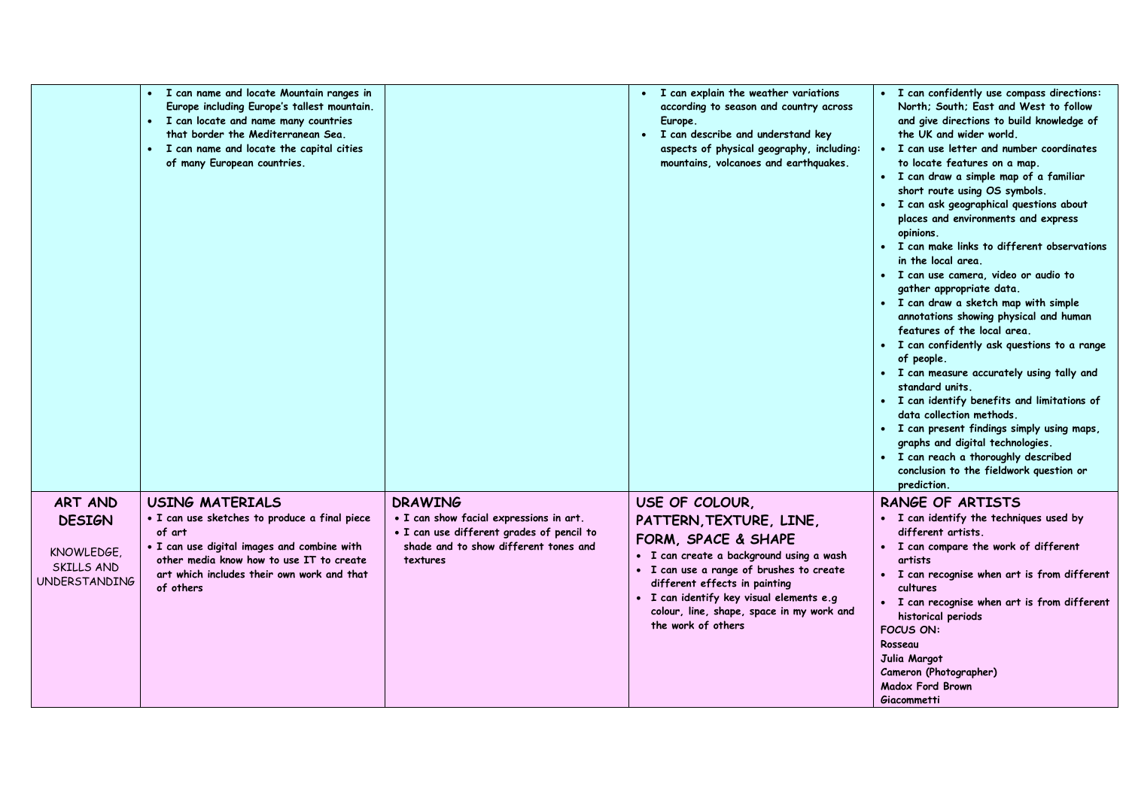|                                                                              | I can name and locate Mountain ranges in<br>$\bullet$<br>Europe including Europe's tallest mountain.<br>• I can locate and name many countries<br>that border the Mediterranean Sea.<br>• I can name and locate the capital cities<br>of many European countries. |                                                                                                                                                             | I can explain the weather variations<br>$\bullet$<br>according to season and country across<br>Europe.<br>• I can describe and understand key<br>aspects of physical geography, including:<br>mountains, volcanoes and earthquakes.                                                                      | • I can confidently use compass directions:<br>North; South; East and West to follow<br>and give directions to build knowledge of<br>the UK and wider world.<br>• I can use letter and number coordinates<br>to locate features on a map.<br>• I can draw a simple map of a familiar<br>short route using OS symbols.<br>• I can ask geographical questions about<br>places and environments and express<br>opinions.<br>I can make links to different observations<br>in the local area.<br>· I can use camera, video or audio to<br>gather appropriate data.<br>• I can draw a sketch map with simple<br>annotations showing physical and human<br>features of the local area.<br>• I can confidently ask questions to a range<br>of people.<br>· I can measure accurately using tally and<br>standard units.<br>• I can identify benefits and limitations of<br>data collection methods.<br>• I can present findings simply using maps,<br>graphs and digital technologies.<br>· I can reach a thoroughly described<br>conclusion to the fieldwork question or<br>prediction. |
|------------------------------------------------------------------------------|-------------------------------------------------------------------------------------------------------------------------------------------------------------------------------------------------------------------------------------------------------------------|-------------------------------------------------------------------------------------------------------------------------------------------------------------|----------------------------------------------------------------------------------------------------------------------------------------------------------------------------------------------------------------------------------------------------------------------------------------------------------|----------------------------------------------------------------------------------------------------------------------------------------------------------------------------------------------------------------------------------------------------------------------------------------------------------------------------------------------------------------------------------------------------------------------------------------------------------------------------------------------------------------------------------------------------------------------------------------------------------------------------------------------------------------------------------------------------------------------------------------------------------------------------------------------------------------------------------------------------------------------------------------------------------------------------------------------------------------------------------------------------------------------------------------------------------------------------------|
| ART AND<br><b>DESIGN</b><br>KNOWLEDGE.<br>SKILLS AND<br><b>UNDERSTANDING</b> | <b>USING MATERIALS</b><br>• I can use sketches to produce a final piece<br>of art<br>. I can use digital images and combine with<br>other media know how to use IT to create<br>art which includes their own work and that<br>of others                           | <b>DRAWING</b><br>• I can show facial expressions in art.<br>· I can use different grades of pencil to<br>shade and to show different tones and<br>textures | USE OF COLOUR,<br>PATTERN, TEXTURE, LINE,<br>FORM, SPACE & SHAPE<br>· I can create a background using a wash<br>· I can use a range of brushes to create<br>different effects in painting<br>• I can identify key visual elements e.g<br>colour, line, shape, space in my work and<br>the work of others | <b>RANGE OF ARTISTS</b><br>• I can identify the techniques used by<br>different artists.<br>• I can compare the work of different<br>artists<br>• I can recognise when art is from different<br>cultures<br>• I can recognise when art is from different<br>historical periods<br><b>FOCUS ON:</b><br>Rosseau<br>Julia Margot<br>Cameron (Photographer)<br><b>Madox Ford Brown</b><br>Giacommetti                                                                                                                                                                                                                                                                                                                                                                                                                                                                                                                                                                                                                                                                                |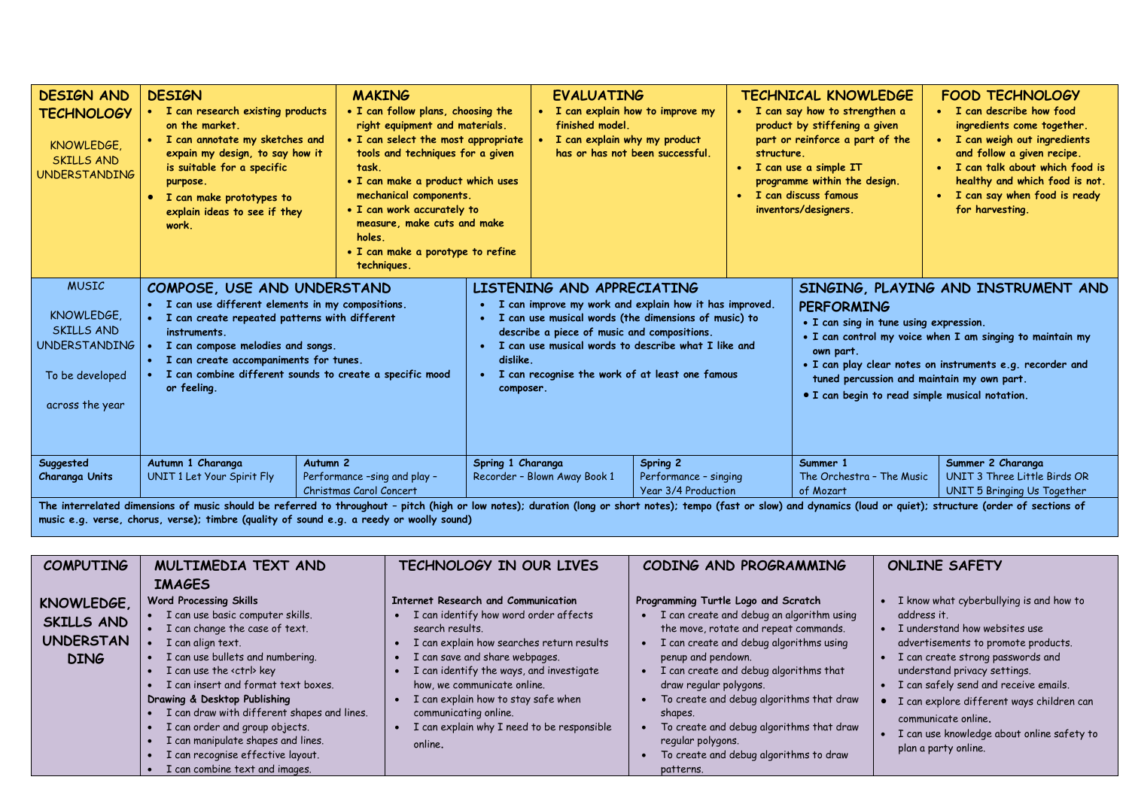| <b>DESIGN AND</b><br><b>TECHNOLOGY</b><br>KNOWLEDGE.<br><b>SKILLS AND</b><br><b>UNDERSTANDING</b>      | <b>DESIGN</b><br>I can research existing products<br>on the market.<br>• I can annotate my sketches and<br>expain my design, to say how it<br>is suitable for a specific<br>purpose.<br>I can make prototypes to<br>$\bullet$<br>explain ideas to see if they<br>work.                                                               | <b>MAKING</b><br>. I can follow plans, choosing the<br>right equipment and materials.<br>• I can select the most appropriate<br>tools and techniques for a given<br>task.<br>• I can make a product which uses<br>mechanical components.<br>• I can work accurately to<br>measure, make cuts and make<br>holes.<br>. I can make a porotype to refine<br>techniques. |                   | <b>EVALUATING</b><br>• I can explain how to improve my<br>finished model.<br>I can explain why my product                                                                                                                                                                                                     | has or has not been successful.                          | structure.<br>$\bullet$<br>$\bullet$ | <b>TECHNICAL KNOWLEDGE</b><br>• I can say how to strengthen a<br>product by stiffening a given<br>part or reinforce a part of the<br>I can use a simple IT<br>programme within the design.<br>I can discuss famous<br>inventors/designers. | <b>FOOD TECHNOLOGY</b><br>• I can describe how food<br>ingredients come together.<br>I can weigh out ingredients<br>and follow a given recipe.<br>I can talk about which food is<br>healthy and which food is not.<br>I can say when food is ready<br>for harvesting. |
|--------------------------------------------------------------------------------------------------------|--------------------------------------------------------------------------------------------------------------------------------------------------------------------------------------------------------------------------------------------------------------------------------------------------------------------------------------|---------------------------------------------------------------------------------------------------------------------------------------------------------------------------------------------------------------------------------------------------------------------------------------------------------------------------------------------------------------------|-------------------|---------------------------------------------------------------------------------------------------------------------------------------------------------------------------------------------------------------------------------------------------------------------------------------------------------------|----------------------------------------------------------|--------------------------------------|--------------------------------------------------------------------------------------------------------------------------------------------------------------------------------------------------------------------------------------------|-----------------------------------------------------------------------------------------------------------------------------------------------------------------------------------------------------------------------------------------------------------------------|
| <b>MUSIC</b><br>KNOWLEDGE.<br>SKILLS AND<br><b>UNDERSTANDING</b><br>To be developed<br>across the year | COMPOSE, USE AND UNDERSTAND<br>I can use different elements in my compositions.<br>$\bullet$<br>I can create repeated patterns with different<br>instruments.<br>I can compose melodies and songs.<br>I can create accompaniments for tunes.<br>$\bullet$<br>I can combine different sounds to create a specific mood<br>or feeling. | dislike.<br>composer.                                                                                                                                                                                                                                                                                                                                               |                   | LISTENING AND APPRECIATING<br>• I can improve my work and explain how it has improved.<br>• I can use musical words (the dimensions of music) to<br>describe a piece of music and compositions.<br>• I can use musical words to describe what I like and<br>• I can recognise the work of at least one famous |                                                          |                                      | <b>PERFORMING</b><br>• I can sing in tune using expression.<br>own part.<br>tuned percussion and maintain my own part.<br>• I can begin to read simple musical notation.                                                                   | SINGING, PLAYING AND INSTRUMENT AND<br>• I can control my voice when I am singing to maintain my<br>. I can play clear notes on instruments e.g. recorder and                                                                                                         |
| Suggested<br>Charanga Units                                                                            | Autumn 1 Charanga<br>Autumn <sub>2</sub><br>UNIT 1 Let Your Spirit Fly<br>The interrelated dimensions of music should be referred to throughout - pitch (high or low notes); duration (long or short notes); tempo (fast or slow) and dynamics (loud or quiet); structure (order of sections of                                      | Performance -sing and play -<br>Christmas Carol Concert                                                                                                                                                                                                                                                                                                             | Spring 1 Charanga | Recorder - Blown Away Book 1                                                                                                                                                                                                                                                                                  | Spring 2<br>Performance - singing<br>Year 3/4 Production |                                      | Summer 1<br>The Orchestra - The Music<br>of Mozart                                                                                                                                                                                         | Summer 2 Charanga<br>UNIT 3 Three Little Birds OR<br>UNIT 5 Bringing Us Together                                                                                                                                                                                      |

**music e.g. verse, chorus, verse); timbre (quality of sound e.g. a reedy or woolly sound)**

| <b>COMPUTING</b>                                            | MULTIMEDIA TEXT AND                                                                                                                                                                                                                                                                                                                                                                                                                                                                              | TECHNOLOGY IN OUR LIVES                                                                                                                                                                                                                                                                                                                                                            | CODING AND PROGRAMMING                                                                                                                                                                                                                                                                                                                                                                                                                                      | <b>ONLINE SAFETY</b>                                                                                                                                                                                                                                                                                                                                                                   |
|-------------------------------------------------------------|--------------------------------------------------------------------------------------------------------------------------------------------------------------------------------------------------------------------------------------------------------------------------------------------------------------------------------------------------------------------------------------------------------------------------------------------------------------------------------------------------|------------------------------------------------------------------------------------------------------------------------------------------------------------------------------------------------------------------------------------------------------------------------------------------------------------------------------------------------------------------------------------|-------------------------------------------------------------------------------------------------------------------------------------------------------------------------------------------------------------------------------------------------------------------------------------------------------------------------------------------------------------------------------------------------------------------------------------------------------------|----------------------------------------------------------------------------------------------------------------------------------------------------------------------------------------------------------------------------------------------------------------------------------------------------------------------------------------------------------------------------------------|
| KNOWLEDGE,<br>SKILLS AND<br><b>UNDERSTAN</b><br><b>DING</b> | <b>IMAGES</b><br><b>Word Processing Skills</b><br>I can use basic computer skills.<br>I can change the case of text.<br>I can align text.<br>I can use bullets and numbering.<br>I can use the <ctrl> key<br/>I can insert and format text boxes.<br/>Drawing &amp; Desktop Publishing<br/>I can draw with different shapes and lines.<br/>I can order and group objects.<br/>I can manipulate shapes and lines.<br/>I can recognise effective layout.<br/>I can combine text and images.</ctrl> | Internet Research and Communication<br>I can identify how word order affects<br>search results.<br>I can explain how searches return results<br>I can save and share webpages.<br>I can identify the ways, and investigate<br>how, we communicate online.<br>I can explain how to stay safe when<br>communicating online.<br>I can explain why I need to be responsible<br>online. | Programming Turtle Logo and Scratch<br>• I can create and debug an algorithm using<br>the move, rotate and repeat commands.<br>I can create and debug algorithms using<br>penup and pendown.<br>$\bullet$ I can create and debug algorithms that<br>draw regular polygons.<br>• To create and debug algorithms that draw<br>shapes.<br>To create and debug algorithms that draw<br>regular polygons.<br>To create and debug algorithms to draw<br>patterns. | I know what cyberbullying is and how to<br>address it.<br>I understand how websites use<br>advertisements to promote products.<br>I can create strong passwords and<br>understand privacy settings.<br>I can safely send and receive emails.<br>I can explore different ways children can<br>communicate online.<br>I can use knowledge about online safety to<br>plan a party online. |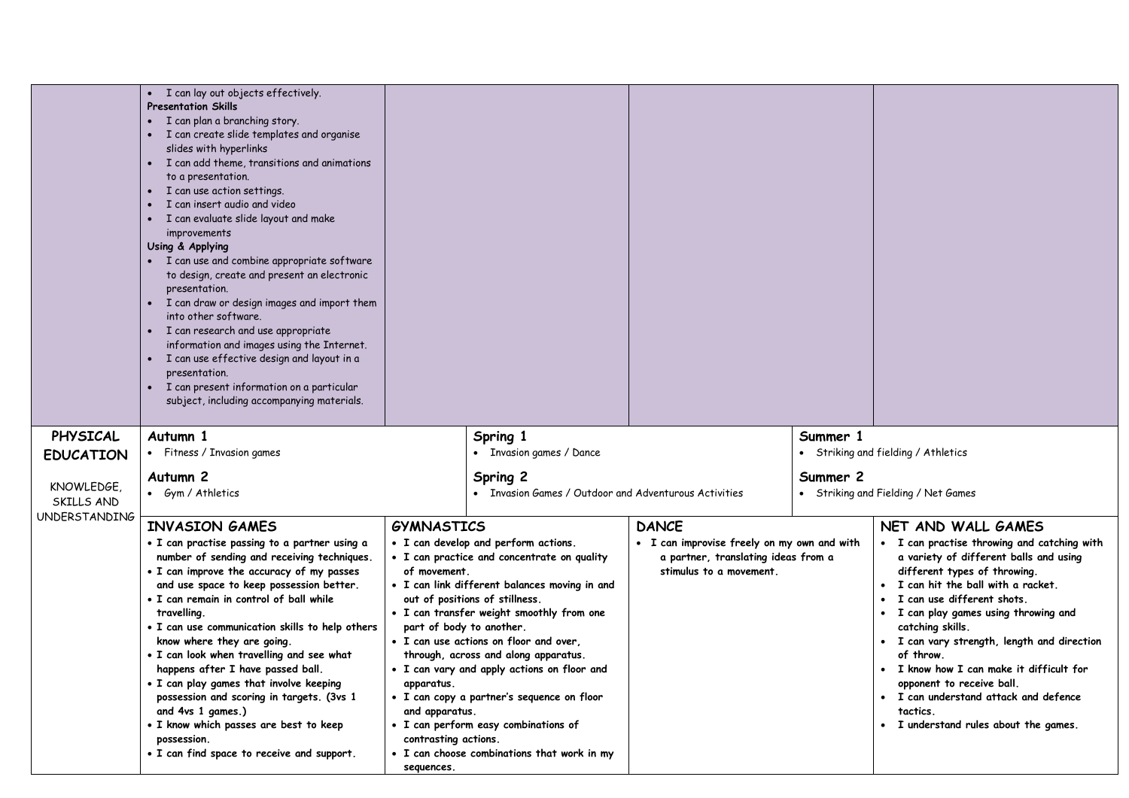|                                           | • I can lay out objects effectively.<br><b>Presentation Skills</b><br>• I can plan a branching story.<br>• I can create slide templates and organise<br>slides with hyperlinks<br>• I can add theme, transitions and animations<br>to a presentation.<br>I can use action settings.<br>I can insert audio and video<br>I can evaluate slide layout and make<br>improvements<br>Using & Applying<br>• I can use and combine appropriate software<br>to design, create and present an electronic<br>presentation.<br>• I can draw or design images and import them<br>into other software.<br>• I can research and use appropriate<br>information and images using the Internet.<br>· I can use effective design and layout in a<br>presentation.<br>I can present information on a particular<br>subject, including accompanying materials. |                                                                                                         |                                                                                                                                                                                                                                                                                                                                                                                                                                                                                                                       |                                                                                                                               |          |                                                                                                                                                                                                                                                                                                                                                                                                                                                                                                                                          |
|-------------------------------------------|--------------------------------------------------------------------------------------------------------------------------------------------------------------------------------------------------------------------------------------------------------------------------------------------------------------------------------------------------------------------------------------------------------------------------------------------------------------------------------------------------------------------------------------------------------------------------------------------------------------------------------------------------------------------------------------------------------------------------------------------------------------------------------------------------------------------------------------------|---------------------------------------------------------------------------------------------------------|-----------------------------------------------------------------------------------------------------------------------------------------------------------------------------------------------------------------------------------------------------------------------------------------------------------------------------------------------------------------------------------------------------------------------------------------------------------------------------------------------------------------------|-------------------------------------------------------------------------------------------------------------------------------|----------|------------------------------------------------------------------------------------------------------------------------------------------------------------------------------------------------------------------------------------------------------------------------------------------------------------------------------------------------------------------------------------------------------------------------------------------------------------------------------------------------------------------------------------------|
| PHYSICAL                                  | Autumn 1                                                                                                                                                                                                                                                                                                                                                                                                                                                                                                                                                                                                                                                                                                                                                                                                                                   |                                                                                                         | Spring 1                                                                                                                                                                                                                                                                                                                                                                                                                                                                                                              |                                                                                                                               | Summer 1 |                                                                                                                                                                                                                                                                                                                                                                                                                                                                                                                                          |
| <b>EDUCATION</b>                          | • Fitness / Invasion games                                                                                                                                                                                                                                                                                                                                                                                                                                                                                                                                                                                                                                                                                                                                                                                                                 |                                                                                                         | • Invasion games / Dance                                                                                                                                                                                                                                                                                                                                                                                                                                                                                              |                                                                                                                               |          | • Striking and fielding / Athletics                                                                                                                                                                                                                                                                                                                                                                                                                                                                                                      |
| KNOWLEDGE,<br>SKILLS AND<br>UNDERSTANDING | Autumn <sub>2</sub><br>• Gym / Athletics                                                                                                                                                                                                                                                                                                                                                                                                                                                                                                                                                                                                                                                                                                                                                                                                   |                                                                                                         | Spring 2<br>• Invasion Games / Outdoor and Adventurous Activities                                                                                                                                                                                                                                                                                                                                                                                                                                                     |                                                                                                                               | Summer 2 | • Striking and Fielding / Net Games                                                                                                                                                                                                                                                                                                                                                                                                                                                                                                      |
|                                           | <b>INVASION GAMES</b><br>• I can practise passing to a partner using a<br>number of sending and receiving techniques.<br>• I can improve the accuracy of my passes<br>and use space to keep possession better.<br>• I can remain in control of ball while<br>travelling.<br>• I can use communication skills to help others<br>know where they are going.<br>• I can look when travelling and see what<br>happens after I have passed ball.<br>• I can play games that involve keeping<br>possession and scoring in targets. (3vs 1<br>and 4vs 1 games.)<br>· I know which passes are best to keep<br>possession.<br>• I can find space to receive and support.                                                                                                                                                                            | <b>GYMNASTICS</b><br>of movement.<br>apparatus.<br>and apparatus.<br>contrasting actions.<br>sequences. | • I can develop and perform actions.<br>· I can practice and concentrate on quality<br>• I can link different balances moving in and<br>out of positions of stillness.<br>• I can transfer weight smoothly from one<br>part of body to another.<br>• I can use actions on floor and over,<br>through, across and along apparatus.<br>• I can vary and apply actions on floor and<br>• I can copy a partner's sequence on floor<br>• I can perform easy combinations of<br>• I can choose combinations that work in my | <b>DANCE</b><br>• I can improvise freely on my own and with<br>a partner, translating ideas from a<br>stimulus to a movement. |          | NET AND WALL GAMES<br>• I can practise throwing and catching with<br>a variety of different balls and using<br>different types of throwing.<br>I can hit the ball with a racket.<br>$\bullet$<br>I can use different shots.<br>$\bullet$<br>• I can play games using throwing and<br>catching skills.<br>• I can vary strength, length and direction<br>of throw.<br>• I know how I can make it difficult for<br>opponent to receive ball.<br>• I can understand attack and defence<br>tactics.<br>• I understand rules about the games. |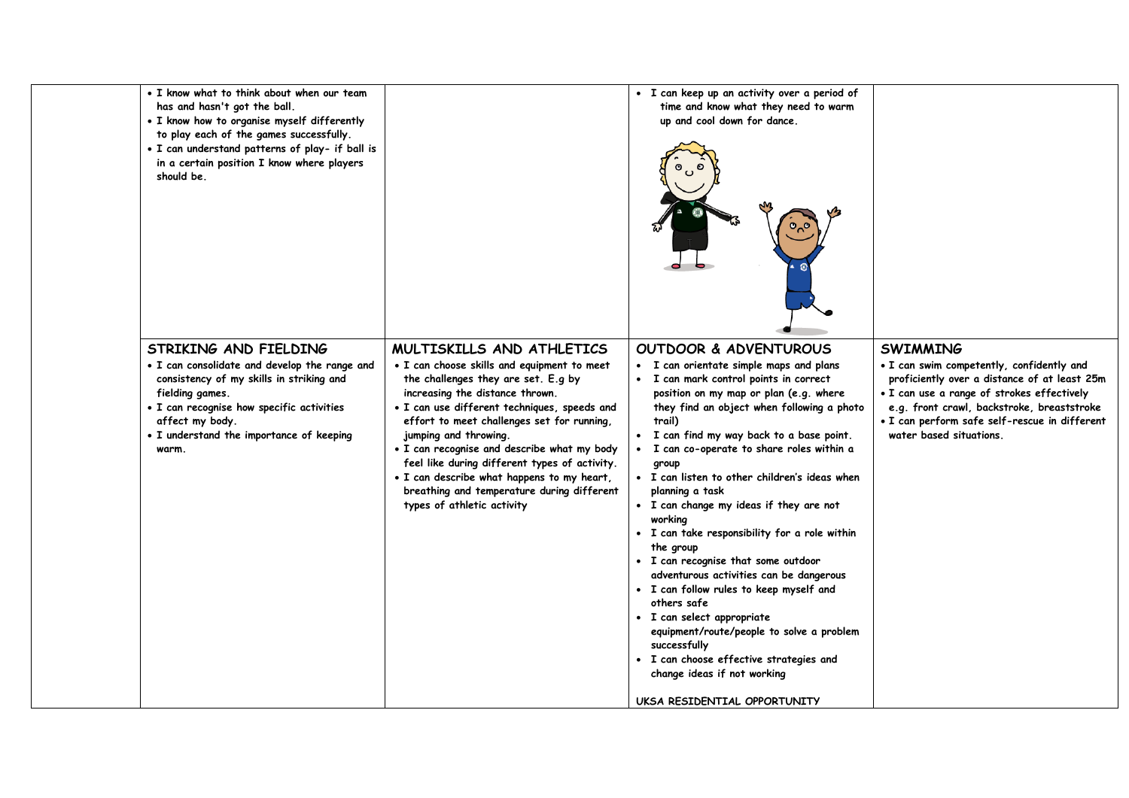| • I know what to think about when our team<br>has and hasn't got the ball.<br>• I know how to organise myself differently<br>to play each of the games successfully.<br>. I can understand patterns of play- if ball is<br>in a certain position I know where players<br>should be. |                                                                                                                                                                                                                                                                                                                                                                                                                                                                                                     | · I can keep up an activity over a period of<br>time and know what they need to warm<br>up and cool down for dance.                                                                                                                                                                                                                                                                                                                                                                                                                                                                                                                                                                                                                                                                                                                                                  |                                                                                                                                                                                                                                                                                      |
|-------------------------------------------------------------------------------------------------------------------------------------------------------------------------------------------------------------------------------------------------------------------------------------|-----------------------------------------------------------------------------------------------------------------------------------------------------------------------------------------------------------------------------------------------------------------------------------------------------------------------------------------------------------------------------------------------------------------------------------------------------------------------------------------------------|----------------------------------------------------------------------------------------------------------------------------------------------------------------------------------------------------------------------------------------------------------------------------------------------------------------------------------------------------------------------------------------------------------------------------------------------------------------------------------------------------------------------------------------------------------------------------------------------------------------------------------------------------------------------------------------------------------------------------------------------------------------------------------------------------------------------------------------------------------------------|--------------------------------------------------------------------------------------------------------------------------------------------------------------------------------------------------------------------------------------------------------------------------------------|
| STRIKING AND FIELDING<br>• I can consolidate and develop the range and<br>consistency of my skills in striking and<br>fielding games.<br>· I can recognise how specific activities<br>affect my body.<br>• I understand the importance of keeping<br>warm.                          | MULTISKILLS AND ATHLETICS<br>• I can choose skills and equipment to meet<br>the challenges they are set. E.g by<br>increasing the distance thrown.<br>· I can use different techniques, speeds and<br>effort to meet challenges set for running,<br>jumping and throwing.<br>. I can recognise and describe what my body<br>feel like during different types of activity.<br>. I can describe what happens to my heart,<br>breathing and temperature during different<br>types of athletic activity | OUTDOOR & ADVENTUROUS<br>• I can orientate simple maps and plans<br>• I can mark control points in correct<br>position on my map or plan (e.g. where<br>they find an object when following a photo<br>trail)<br>• I can find my way back to a base point.<br>I can co-operate to share roles within a<br>$\bullet$<br>group<br>• I can listen to other children's ideas when<br>planning a task<br>· I can change my ideas if they are not<br>working<br>• I can take responsibility for a role within<br>the group<br>• I can recognise that some outdoor<br>adventurous activities can be dangerous<br>· I can follow rules to keep myself and<br>others safe<br>· I can select appropriate<br>equipment/route/people to solve a problem<br>successfully<br>· I can choose effective strategies and<br>change ideas if not working<br>UKSA RESIDENTIAL OPPORTUNITY | <b>SWIMMING</b><br>. I can swim competently, confidently and<br>proficiently over a distance of at least 25m<br>· I can use a range of strokes effectively<br>e.g. front crawl, backstroke, breaststroke<br>• I can perform safe self-rescue in different<br>water based situations. |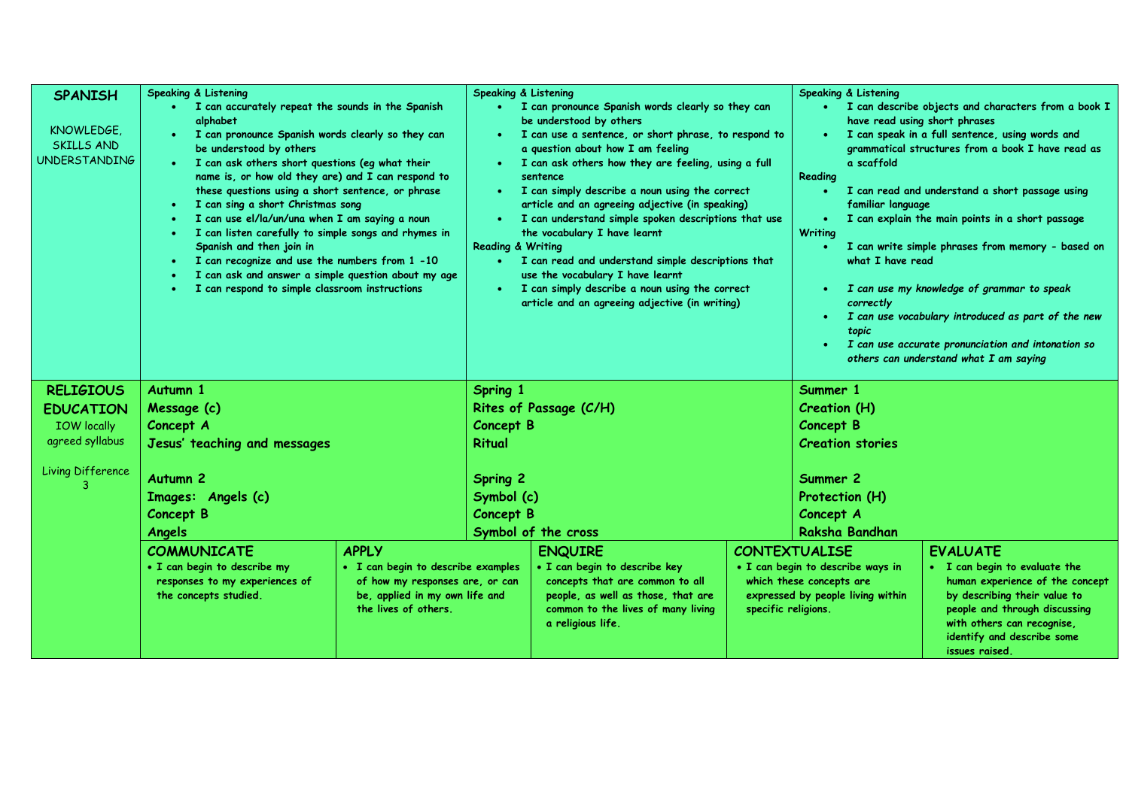| <b>SPANISH</b><br>KNOWLEDGE.<br><b>SKILLS AND</b><br><b>UNDERSTANDING</b> | <b>Speaking &amp; Listening</b><br>• I can accurately repeat the sounds in the Spanish<br>alphabet<br>I can pronounce Spanish words clearly so they can<br>be understood by others<br>• I can ask others short questions (eg what their<br>name is, or how old they are) and I can respond to<br>these questions using a short sentence, or phrase<br>I can sing a short Christmas song<br>I can use el/la/un/una when I am saying a noun<br>I can listen carefully to simple songs and rhymes in<br>Spanish and then join in |                                                                                                                                 | <b>Speaking &amp; Listening</b><br>· I can pronounce Spanish words clearly so they can<br>be understood by others<br>· I can use a sentence, or short phrase, to respond to<br>a question about how I am feeling<br>I can ask others how they are feeling, using a full<br>sentence<br>I can simply describe a noun using the correct<br>$\bullet$ .<br>article and an agreeing adjective (in speaking)<br>I can understand simple spoken descriptions that use<br>the vocabulary I have learnt<br><b>Reading &amp; Writing</b> |                                                                                                                                                                   |                     | <b>Speaking &amp; Listening</b><br>· I can describe objects and characters from a book I<br>have read using short phrases<br>I can speak in a full sentence, using words and<br>$\bullet$<br>grammatical structures from a book I have read as<br>a scaffold<br>Reading<br>I can read and understand a short passage using<br>familiar language<br>I can explain the main points in a short passage<br>$\bullet$<br><b>Writing</b><br>I can write simple phrases from memory - based on<br>$\bullet$ |                                                                                                                                                                                                                 |  |
|---------------------------------------------------------------------------|-------------------------------------------------------------------------------------------------------------------------------------------------------------------------------------------------------------------------------------------------------------------------------------------------------------------------------------------------------------------------------------------------------------------------------------------------------------------------------------------------------------------------------|---------------------------------------------------------------------------------------------------------------------------------|---------------------------------------------------------------------------------------------------------------------------------------------------------------------------------------------------------------------------------------------------------------------------------------------------------------------------------------------------------------------------------------------------------------------------------------------------------------------------------------------------------------------------------|-------------------------------------------------------------------------------------------------------------------------------------------------------------------|---------------------|------------------------------------------------------------------------------------------------------------------------------------------------------------------------------------------------------------------------------------------------------------------------------------------------------------------------------------------------------------------------------------------------------------------------------------------------------------------------------------------------------|-----------------------------------------------------------------------------------------------------------------------------------------------------------------------------------------------------------------|--|
|                                                                           | I can recognize and use the numbers from 1 -10<br>I can ask and answer a simple question about my age<br>I can respond to simple classroom instructions                                                                                                                                                                                                                                                                                                                                                                       |                                                                                                                                 | • I can read and understand simple descriptions that<br>use the vocabulary I have learnt<br>I can simply describe a noun using the correct<br>$\bullet$ .<br>article and an agreeing adjective (in writing)                                                                                                                                                                                                                                                                                                                     |                                                                                                                                                                   |                     | what I have read<br>I can use my knowledge of grammar to speak<br>$\bullet$<br>correctly<br>I can use vocabulary introduced as part of the new<br>$\bullet$<br>topic<br>I can use accurate pronunciation and intonation so<br>$\bullet$<br>others can understand what I am saying                                                                                                                                                                                                                    |                                                                                                                                                                                                                 |  |
| <b>RELIGIOUS</b>                                                          | Autumn 1                                                                                                                                                                                                                                                                                                                                                                                                                                                                                                                      |                                                                                                                                 | Spring 1                                                                                                                                                                                                                                                                                                                                                                                                                                                                                                                        |                                                                                                                                                                   |                     | Summer 1                                                                                                                                                                                                                                                                                                                                                                                                                                                                                             |                                                                                                                                                                                                                 |  |
| <b>EDUCATION</b>                                                          | Message (c)                                                                                                                                                                                                                                                                                                                                                                                                                                                                                                                   |                                                                                                                                 | Rites of Passage (C/H)                                                                                                                                                                                                                                                                                                                                                                                                                                                                                                          |                                                                                                                                                                   |                     | Creation (H)                                                                                                                                                                                                                                                                                                                                                                                                                                                                                         |                                                                                                                                                                                                                 |  |
| <b>IOW</b> locally                                                        | Concept A                                                                                                                                                                                                                                                                                                                                                                                                                                                                                                                     |                                                                                                                                 | Concept B                                                                                                                                                                                                                                                                                                                                                                                                                                                                                                                       |                                                                                                                                                                   |                     | <b>Concept B</b>                                                                                                                                                                                                                                                                                                                                                                                                                                                                                     |                                                                                                                                                                                                                 |  |
| agreed syllabus                                                           | Jesus' teaching and messages                                                                                                                                                                                                                                                                                                                                                                                                                                                                                                  |                                                                                                                                 | <b>Ritual</b>                                                                                                                                                                                                                                                                                                                                                                                                                                                                                                                   |                                                                                                                                                                   |                     | <b>Creation stories</b>                                                                                                                                                                                                                                                                                                                                                                                                                                                                              |                                                                                                                                                                                                                 |  |
| Living Difference                                                         | Autumn <sub>2</sub><br>Images: Angels (c)<br><b>Concept B</b><br>Angels                                                                                                                                                                                                                                                                                                                                                                                                                                                       |                                                                                                                                 | <b>Spring 2</b><br>Symbol (c)<br>Concept B<br>Symbol of the cross                                                                                                                                                                                                                                                                                                                                                                                                                                                               |                                                                                                                                                                   |                     | Summer 2<br>Protection (H)<br>Concept A<br>Raksha Bandhan                                                                                                                                                                                                                                                                                                                                                                                                                                            |                                                                                                                                                                                                                 |  |
|                                                                           | <b>COMMUNICATE</b>                                                                                                                                                                                                                                                                                                                                                                                                                                                                                                            | <b>APPLY</b>                                                                                                                    |                                                                                                                                                                                                                                                                                                                                                                                                                                                                                                                                 | <b>ENQUIRE</b>                                                                                                                                                    |                     | <b>CONTEXTUALISE</b>                                                                                                                                                                                                                                                                                                                                                                                                                                                                                 | <b>EVALUATE</b>                                                                                                                                                                                                 |  |
|                                                                           | . I can begin to describe my<br>responses to my experiences of<br>the concepts studied.                                                                                                                                                                                                                                                                                                                                                                                                                                       | · I can begin to describe examples<br>of how my responses are, or can<br>be, applied in my own life and<br>the lives of others. |                                                                                                                                                                                                                                                                                                                                                                                                                                                                                                                                 | · I can begin to describe key<br>concepts that are common to all<br>people, as well as those, that are<br>common to the lives of many living<br>a religious life. | specific religions. | · I can begin to describe ways in<br>which these concepts are<br>expressed by people living within                                                                                                                                                                                                                                                                                                                                                                                                   | • I can begin to evaluate the<br>human experience of the concept<br>by describing their value to<br>people and through discussing<br>with others can recognise,<br>identify and describe some<br>issues raised. |  |